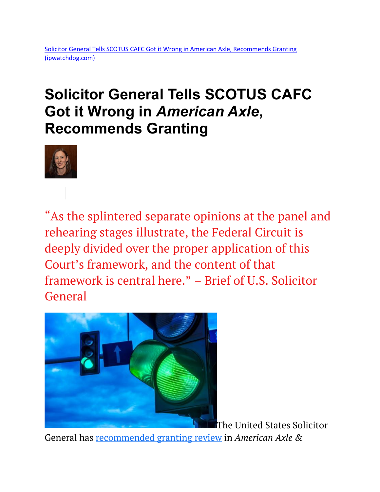## **Solicitor General Tells SCOTUS CAFC Got it Wrong in** *American Axle***, Recommends Granting**



"As the splintered separate opinions at the panel and rehearing stages illustrate, the Federal Circuit is deeply divided over the proper application of this Court's framework, and the content of that framework is central here." – Brief of U.S. Solicitor **General** 



[T](https://depositphotos.com/210833650/stock-photo-traffic-lights-urban-intersection.html)he United States Solicitor

General has [recommended granting review](https://www.supremecourt.gov/DocketPDF/20/20-891/226156/20220524150114156_20-891%20-%20American%20Axle%20CVSG.pdf) in *American Axle &*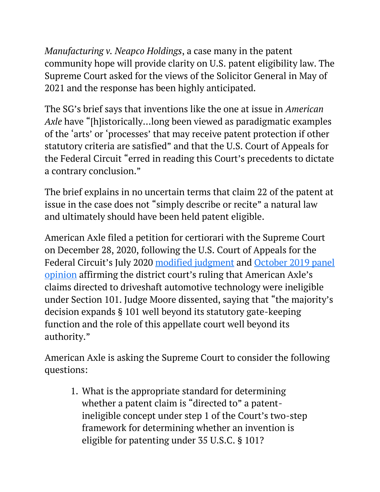*Manufacturing v. Neapco Holdings*, a case many in the patent community hope will provide clarity on U.S. patent eligibility law. The Supreme Court asked for the views of the Solicitor General in May of 2021 and the response has been highly anticipated.

The SG's brief says that inventions like the one at issue in *American Axle* have "[h]istorically…long been viewed as paradigmatic examples of the 'arts' or 'processes' that may receive patent protection if other statutory criteria are satisfied" and that the U.S. Court of Appeals for the Federal Circuit "erred in reading this Court's precedents to dictate a contrary conclusion."

The brief explains in no uncertain terms that claim 22 of the patent at issue in the case does not "simply describe or recite" a natural law and ultimately should have been held patent eligible.

American Axle filed a petition for certiorari with the Supreme Court on December 28, 2020, following the U.S. Court of Appeals for the Federal Circuit's July 2020 [modified judgment](https://www.ipwatchdog.com/2020/08/03/cafc-evenly-splits-en-banc-rehearing-american-axles-driveshaft-patent/id=123744/) and [October 2019 panel](https://www.ipwatchdog.com/2019/10/04/cafc-rejects-method-manufacturing-propshafts-101-judge-moore-calls-majority-analysis-validity-goulash/id=114258/)  [opinion](https://www.ipwatchdog.com/2019/10/04/cafc-rejects-method-manufacturing-propshafts-101-judge-moore-calls-majority-analysis-validity-goulash/id=114258/) affirming the district court's ruling that American Axle's claims directed to driveshaft automotive technology were ineligible under Section 101. Judge Moore dissented, saying that "the majority's decision expands § 101 well beyond its statutory gate-keeping function and the role of this appellate court well beyond its authority."

American Axle is asking the Supreme Court to consider the following questions:

1. What is the appropriate standard for determining whether a patent claim is "directed to" a patentineligible concept under step 1 of the Court's two-step framework for determining whether an invention is eligible for patenting under 35 U.S.C. § 101?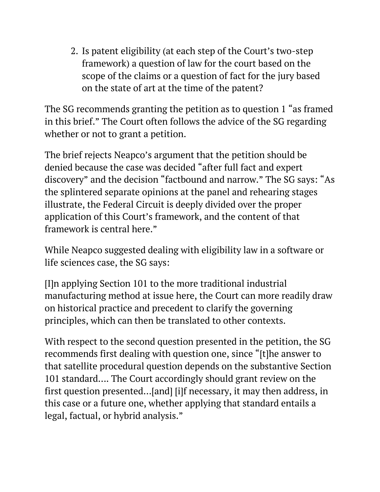2. Is patent eligibility (at each step of the Court's two-step framework) a question of law for the court based on the scope of the claims or a question of fact for the jury based on the state of art at the time of the patent?

The SG recommends granting the petition as to question 1 "as framed in this brief." The Court often follows the advice of the SG regarding whether or not to grant a petition.

The brief rejects Neapco's argument that the petition should be denied because the case was decided "after full fact and expert discovery" and the decision "factbound and narrow." The SG says: "As the splintered separate opinions at the panel and rehearing stages illustrate, the Federal Circuit is deeply divided over the proper application of this Court's framework, and the content of that framework is central here."

While Neapco suggested dealing with eligibility law in a software or life sciences case, the SG says:

[I]n applying Section 101 to the more traditional industrial manufacturing method at issue here, the Court can more readily draw on historical practice and precedent to clarify the governing principles, which can then be translated to other contexts.

With respect to the second question presented in the petition, the SG recommends first dealing with question one, since "[t]he answer to that satellite procedural question depends on the substantive Section 101 standard…. The Court accordingly should grant review on the first question presented…[and] [i]f necessary, it may then address, in this case or a future one, whether applying that standard entails a legal, factual, or hybrid analysis."